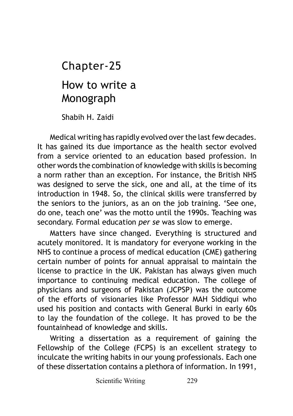# How to write a Monograph Chapter-25

Shabih H. Zaidi

Medical writing has rapidly evolved over the last few decades. It has gained its due importance as the health sector evolved from a service oriented to an education based profession. In other words the combination of knowledge with skills is becoming a norm rather than an exception. For instance, the British NHS was designed to serve the sick, one and all, at the time of its introduction in 1948. So, the clinical skills were transferred by the seniors to the juniors, as an on the job training. 'See one, do one, teach one' was the motto until the 1990s. Teaching was secondary. Formal education *per se* was slow to emerge.

Matters have since changed. Everything is structured and acutely monitored. It is mandatory for everyone working in the NHS to continue a process of medical education (CME) gathering certain number of points for annual appraisal to maintain the license to practice in the UK. Pakistan has always given much importance to continuing medical education. The college of physicians and surgeons of Pakistan (JCPSP) was the outcome of the efforts of visionaries like Professor MAH Siddiqui who used his position and contacts with General Burki in early 60s to lay the foundation of the college. It has proved to be the fountainhead of knowledge and skills.

Writing a dissertation as a requirement of gaining the Fellowship of the College (FCPS) is an excellent strategy to inculcate the writing habits in our young professionals. Each one of these dissertation contains a plethora of information. In 1991,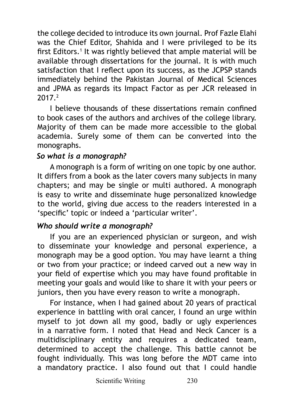the college decided to introduce its own journal. Prof Fazle Elahi was the Chief Editor, Shahida and I were privileged to be its first Editors.<sup>1</sup> It was rightly believed that ample material will be available through dissertations for the journal. It is with much satisfaction that I reflect upon its success, as the JCPSP stands immediately behind the Pakistan Journal of Medical Sciences and JPMA as regards its Impact Factor as per JCR released in 2017.2

I believe thousands of these dissertations remain confined to book cases of the authors and archives of the college library. Majority of them can be made more accessible to the global academia. Surely some of them can be converted into the monographs.

#### *So what is a monograph?*

A monograph is a form of writing on one topic by one author. It differs from a book as the later covers many subjects in many chapters; and may be single or multi authored. A monograph is easy to write and disseminate huge personalized knowledge to the world, giving due access to the readers interested in a 'specific' topic or indeed a 'particular writer'.

### *Who should write a monograph?*

If you are an experienced physician or surgeon, and wish to disseminate your knowledge and personal experience, a monograph may be a good option. You may have learnt a thing or two from your practice; or indeed carved out a new way in your field of expertise which you may have found profitable in meeting your goals and would like to share it with your peers or juniors, then you have every reason to write a monograph.

For instance, when I had gained about 20 years of practical experience in battling with oral cancer, I found an urge within myself to jot down all my good, badly or ugly experiences in a narrative form. I noted that Head and Neck Cancer is a multidisciplinary entity and requires a dedicated team, determined to accept the challenge. This battle cannot be fought individually. This was long before the MDT came into a mandatory practice. I also found out that I could handle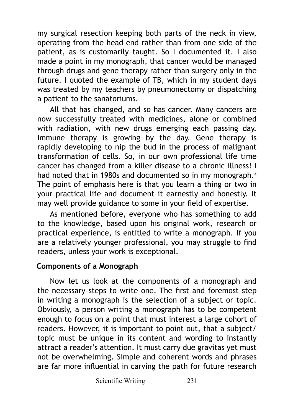my surgical resection keeping both parts of the neck in view, operating from the head end rather than from one side of the patient, as is customarily taught. So I documented it. I also made a point in my monograph, that cancer would be managed through drugs and gene therapy rather than surgery only in the future. I quoted the example of TB, which in my student days was treated by my teachers by pneumonectomy or dispatching a patient to the sanatoriums.

All that has changed, and so has cancer. Many cancers are now successfully treated with medicines, alone or combined with radiation, with new drugs emerging each passing day. Immune therapy is growing by the day. Gene therapy is rapidly developing to nip the bud in the process of malignant transformation of cells. So, in our own professional life time cancer has changed from a killer disease to a chronic illness! I had noted that in 1980s and documented so in my monograph.<sup>3</sup> The point of emphasis here is that you learn a thing or two in your practical life and document it earnestly and honestly. It may well provide guidance to some in your field of expertise.

As mentioned before, everyone who has something to add to the knowledge, based upon his original work, research or practical experience, is entitled to write a monograph. If you are a relatively younger professional, you may struggle to find readers, unless your work is exceptional.

### **Components of a Monograph**

Now let us look at the components of a monograph and the necessary steps to write one. The first and foremost step in writing a monograph is the selection of a subject or topic. Obviously, a person writing a monograph has to be competent enough to focus on a point that must interest a large cohort of readers. However, it is important to point out, that a subject/ topic must be unique in its content and wording to instantly attract a reader's attention. It must carry due gravitas yet must not be overwhelming. Simple and coherent words and phrases are far more influential in carving the path for future research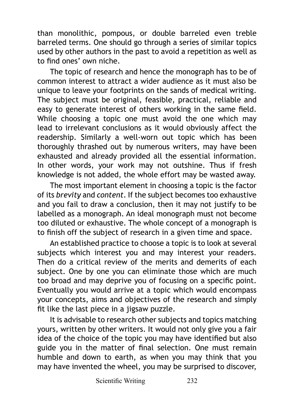than monolithic, pompous, or double barreled even treble barreled terms. One should go through a series of similar topics used by other authors in the past to avoid a repetition as well as to find ones' own niche.

The topic of research and hence the monograph has to be of common interest to attract a wider audience as it must also be unique to leave your footprints on the sands of medical writing. The subject must be original, feasible, practical, reliable and easy to generate interest of others working in the same field. While choosing a topic one must avoid the one which may lead to irrelevant conclusions as it would obviously affect the readership. Similarly a well-worn out topic which has been thoroughly thrashed out by numerous writers, may have been exhausted and already provided all the essential information. In other words, your work may not outshine. Thus if fresh knowledge is not added, the whole effort may be wasted away.

The most important element in choosing a topic is the factor of its *brevity* and *content*. If the subject becomes too exhaustive and you fail to draw a conclusion, then it may not justify to be labelled as a monograph. An ideal monograph must not become too diluted or exhaustive. The whole concept of a monograph is to finish off the subject of research in a given time and space.

An established practice to choose a topic is to look at several subjects which interest you and may interest your readers. Then do a critical review of the merits and demerits of each subject. One by one you can eliminate those which are much too broad and may deprive you of focusing on a specific point. Eventually you would arrive at a topic which would encompass your concepts, aims and objectives of the research and simply fit like the last piece in a jigsaw puzzle.

It is advisable to research other subjects and topics matching yours, written by other writers. It would not only give you a fair idea of the choice of the topic you may have identified but also guide you in the matter of final selection. One must remain humble and down to earth, as when you may think that you may have invented the wheel, you may be surprised to discover,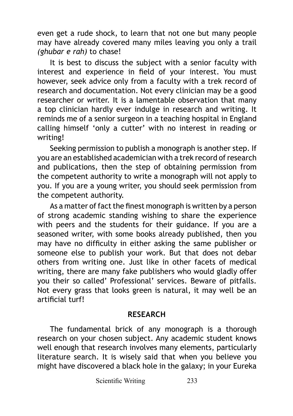even get a rude shock, to learn that not one but many people may have already covered many miles leaving you only a trail *(ghubar e rah)* to chase!

It is best to discuss the subject with a senior faculty with interest and experience in field of your interest. You must however, seek advice only from a faculty with a trek record of research and documentation. Not every clinician may be a good researcher or writer. It is a lamentable observation that many a top clinician hardly ever indulge in research and writing. It reminds me of a senior surgeon in a teaching hospital in England calling himself 'only a cutter' with no interest in reading or writing!

Seeking permission to publish a monograph is another step. If you are an established academician with a trek record of research and publications, then the step of obtaining permission from the competent authority to write a monograph will not apply to you. If you are a young writer, you should seek permission from the competent authority.

As a matter of fact the finest monograph is written by a person of strong academic standing wishing to share the experience with peers and the students for their guidance. If you are a seasoned writer, with some books already published, then you may have no difficulty in either asking the same publisher or someone else to publish your work. But that does not debar others from writing one. Just like in other facets of medical writing, there are many fake publishers who would gladly offer you their so called' Professional' services. Beware of pitfalls. Not every grass that looks green is natural, it may well be an artificial turf!

#### **RESEARCH**

The fundamental brick of any monograph is a thorough research on your chosen subject. Any academic student knows well enough that research involves many elements, particularly literature search. It is wisely said that when you believe you might have discovered a black hole in the galaxy; in your Eureka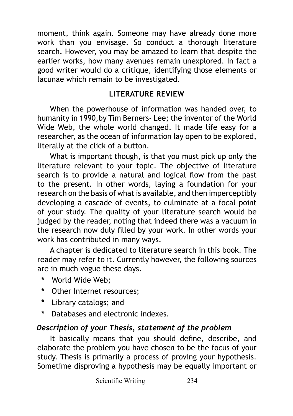moment, think again. Someone may have already done more work than you envisage. So conduct a thorough literature search. However, you may be amazed to learn that despite the earlier works, how many avenues remain unexplored. In fact a good writer would do a critique, identifying those elements or lacunae which remain to be investigated.

# **LITERATURE REVIEW**

When the powerhouse of information was handed over, to humanity in 1990,by Tim Berners- Lee; the inventor of the World Wide Web, the whole world changed. It made life easy for a researcher, as the ocean of information lay open to be explored, literally at the click of a button.

What is important though, is that you must pick up only the literature relevant to your topic. The objective of literature search is to provide a natural and logical flow from the past to the present. In other words, laying a foundation for your research on the basis of what is available, and then imperceptibly developing a cascade of events, to culminate at a focal point of your study. The quality of your literature search would be judged by the reader, noting that indeed there was a vacuum in the research now duly filled by your work. In other words your work has contributed in many ways.

A chapter is dedicated to literature search in this book. The reader may refer to it. Currently however, the following sources are in much vogue these days.

- **\*** World Wide Web;
- **\*** Other Internet resources;
- **\*** Library catalogs; and
- **\*** Databases and electronic indexes.

# *Description of your Thesis, statement of the problem*

It basically means that you should define, describe, and elaborate the problem you have chosen to be the focus of your study. Thesis is primarily a process of proving your hypothesis. Sometime disproving a hypothesis may be equally important or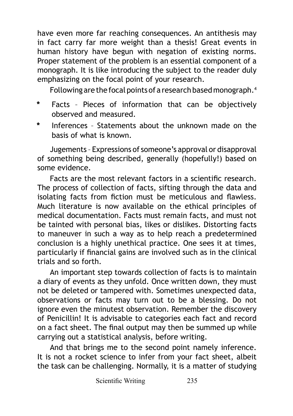have even more far reaching consequences. An antithesis may in fact carry far more weight than a thesis! Great events in human history have begun with negation of existing norms. Proper statement of the problem is an essential component of a monograph. It is like introducing the subject to the reader duly emphasizing on the focal point of your research.

Following are the focal points of a research based monograph.<sup>4</sup>

- **\*** Facts Pieces of information that can be objectively observed and measured.
- **\*** Inferences Statements about the unknown made on the basis of what is known.

Jugements – Expressions of someone's approval or disapproval of something being described, generally (hopefully!) based on some evidence.

Facts are the most relevant factors in a scientific research. The process of collection of facts, sifting through the data and isolating facts from fiction must be meticulous and flawless. Much literature is now available on the ethical principles of medical documentation. Facts must remain facts, and must not be tainted with personal bias, likes or dislikes. Distorting facts to maneuver in such a way as to help reach a predetermined conclusion is a highly unethical practice. One sees it at times, particularly if financial gains are involved such as in the clinical trials and so forth.

An important step towards collection of facts is to maintain a diary of events as they unfold. Once written down, they must not be deleted or tampered with. Sometimes unexpected data, observations or facts may turn out to be a blessing. Do not ignore even the minutest observation. Remember the discovery of Penicillin! It is advisable to categories each fact and record on a fact sheet. The final output may then be summed up while carrying out a statistical analysis, before writing.

And that brings me to the second point namely inference. It is not a rocket science to infer from your fact sheet, albeit the task can be challenging. Normally, it is a matter of studying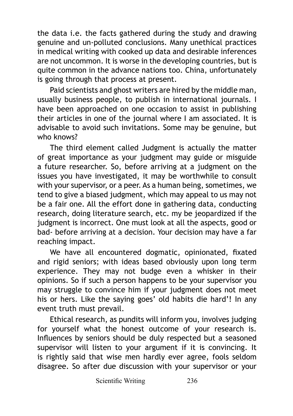the data i.e. the facts gathered during the study and drawing genuine and un-polluted conclusions. Many unethical practices in medical writing with cooked up data and desirable inferences are not uncommon. It is worse in the developing countries, but is quite common in the advance nations too. China, unfortunately is going through that process at present.

Paid scientists and ghost writers are hired by the middle man, usually business people, to publish in international journals. I have been approached on one occasion to assist in publishing their articles in one of the journal where I am associated. It is advisable to avoid such invitations. Some may be genuine, but who knows?

The third element called Judgment is actually the matter of great importance as your judgment may guide or misguide a future researcher. So, before arriving at a judgment on the issues you have investigated, it may be worthwhile to consult with your supervisor, or a peer. As a human being, sometimes, we tend to give a biased judgment, which may appeal to us may not be a fair one. All the effort done in gathering data, conducting research, doing literature search, etc. my be jeopardized if the judgment is incorrect. One must look at all the aspects, good or bad- before arriving at a decision. Your decision may have a far reaching impact.

We have all encountered dogmatic, opinionated, fixated and rigid seniors; with ideas based obviously upon long term experience. They may not budge even a whisker in their opinions. So if such a person happens to be your supervisor you may struggle to convince him if your judgment does not meet his or hers. Like the saying goes' old habits die hard'! In any event truth must prevail.

Ethical research, as pundits will inform you, involves judging for yourself what the honest outcome of your research is. Influences by seniors should be duly respected but a seasoned supervisor will listen to your argument if it is convincing. It is rightly said that wise men hardly ever agree, fools seldom disagree. So after due discussion with your supervisor or your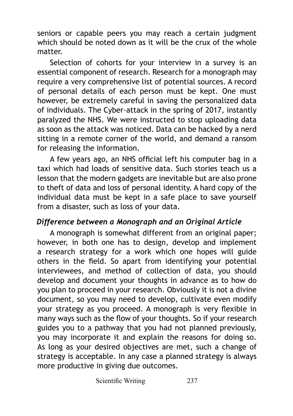seniors or capable peers you may reach a certain judgment which should be noted down as it will be the crux of the whole matter.

Selection of cohorts for your interview in a survey is an essential component of research. Research for a monograph may require a very comprehensive list of potential sources. A record of personal details of each person must be kept. One must however, be extremely careful in saving the personalized data of individuals. The Cyber-attack in the spring of 2017, instantly paralyzed the NHS. We were instructed to stop uploading data as soon as the attack was noticed. Data can be hacked by a nerd sitting in a remote corner of the world, and demand a ransom for releasing the information.

A few years ago, an NHS official left his computer bag in a taxi which had loads of sensitive data. Such stories teach us a lesson that the modern gadgets are inevitable but are also prone to theft of data and loss of personal identity. A hard copy of the individual data must be kept in a safe place to save yourself from a disaster, such as loss of your data.

## *Difference between a Monograph and an Original Article*

A monograph is somewhat different from an original paper; however, in both one has to design, develop and implement a research strategy for a work which one hopes will guide others in the field. So apart from identifying your potential interviewees, and method of collection of data, you should develop and document your thoughts in advance as to how do you plan to proceed in your research. Obviously it is not a divine document, so you may need to develop, cultivate even modify your strategy as you proceed. A monograph is very flexible in many ways such as the flow of your thoughts. So if your research guides you to a pathway that you had not planned previously, you may incorporate it and explain the reasons for doing so. As long as your desired objectives are met, such a change of strategy is acceptable. In any case a planned strategy is always more productive in giving due outcomes.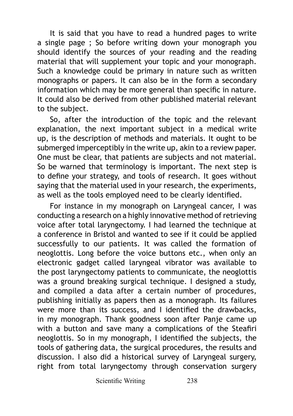It is said that you have to read a hundred pages to write a single page ; So before writing down your monograph you should identify the sources of your reading and the reading material that will supplement your topic and your monograph. Such a knowledge could be primary in nature such as written monographs or papers. It can also be in the form a secondary information which may be more general than specific in nature. It could also be derived from other published material relevant to the subject.

So, after the introduction of the topic and the relevant explanation, the next important subject in a medical write up, is the description of methods and materials. It ought to be submerged imperceptibly in the write up, akin to a review paper. One must be clear, that patients are subjects and not material. So be warned that terminology is important. The next step is to define your strategy, and tools of research. It goes without saying that the material used in your research, the experiments, as well as the tools employed need to be clearly identified.

For instance in my monograph on Laryngeal cancer, I was conducting a research on a highly innovative method of retrieving voice after total laryngectomy. I had learned the technique at a conference in Bristol and wanted to see if it could be applied successfully to our patients. It was called the formation of neoglottis. Long before the voice buttons etc., when only an electronic gadget called laryngeal vibrator was available to the post laryngectomy patients to communicate, the neoglottis was a ground breaking surgical technique. I designed a study, and compiled a data after a certain number of procedures, publishing initially as papers then as a monograph. Its failures were more than its success, and I identified the drawbacks, in my monograph. Thank goodness soon after Panje came up with a button and save many a complications of the Steafiri neoglottis. So in my monograph, I identified the subjects, the tools of gathering data, the surgical procedures, the results and discussion. I also did a historical survey of Laryngeal surgery, right from total laryngectomy through conservation surgery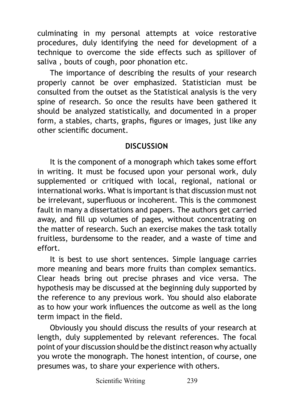culminating in my personal attempts at voice restorative procedures, duly identifying the need for development of a technique to overcome the side effects such as spillover of saliva , bouts of cough, poor phonation etc.

The importance of describing the results of your research properly cannot be over emphasized. Statistician must be consulted from the outset as the Statistical analysis is the very spine of research. So once the results have been gathered it should be analyzed statistically, and documented in a proper form, a stables, charts, graphs, figures or images, just like any other scientific document.

## **DISCUSSION**

It is the component of a monograph which takes some effort in writing. It must be focused upon your personal work, duly supplemented or critiqued with local, regional, national or international works. What is important is that discussion must not be irrelevant, superfluous or incoherent. This is the commonest fault in many a dissertations and papers. The authors get carried away, and fill up volumes of pages, without concentrating on the matter of research. Such an exercise makes the task totally fruitless, burdensome to the reader, and a waste of time and effort.

It is best to use short sentences. Simple language carries more meaning and bears more fruits than complex semantics. Clear heads bring out precise phrases and vice versa. The hypothesis may be discussed at the beginning duly supported by the reference to any previous work. You should also elaborate as to how your work influences the outcome as well as the long term impact in the field.

Obviously you should discuss the results of your research at length, duly supplemented by relevant references. The focal point of your discussion should be the distinct reason why actually you wrote the monograph. The honest intention, of course, one presumes was, to share your experience with others.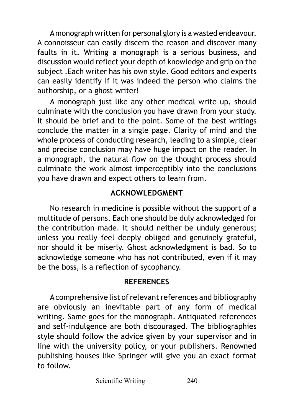A monograph written for personal glory is a wasted endeavour. A connoisseur can easily discern the reason and discover many faults in it. Writing a monograph is a serious business, and discussion would reflect your depth of knowledge and grip on the subject .Each writer has his own style. Good editors and experts can easily identify if it was indeed the person who claims the authorship, or a ghost writer!

A monograph just like any other medical write up, should culminate with the conclusion you have drawn from your study. It should be brief and to the point. Some of the best writings conclude the matter in a single page. Clarity of mind and the whole process of conducting research, leading to a simple, clear and precise conclusion may have huge impact on the reader. In a monograph, the natural flow on the thought process should culminate the work almost imperceptibly into the conclusions you have drawn and expect others to learn from.

# **ACKNOWLEDGMENT**

No research in medicine is possible without the support of a multitude of persons. Each one should be duly acknowledged for the contribution made. It should neither be unduly generous; unless you really feel deeply obliged and genuinely grateful, nor should it be miserly. Ghost acknowledgment is bad. So to acknowledge someone who has not contributed, even if it may be the boss, is a reflection of sycophancy.

## **REFERENCES**

A comprehensive list of relevant references and bibliography are obviously an inevitable part of any form of medical writing. Same goes for the monograph. Antiquated references and self-indulgence are both discouraged. The bibliographies style should follow the advice given by your supervisor and in line with the university policy, or your publishers. Renowned publishing houses like Springer will give you an exact format to follow.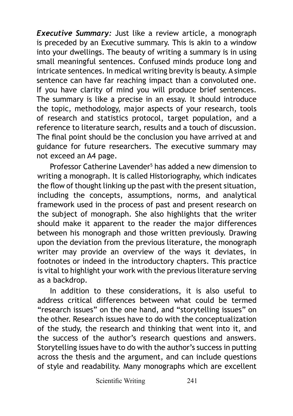*Executive Summary:* Just like a review article, a monograph is preceded by an Executive summary. This is akin to a window into your dwellings. The beauty of writing a summary is in using small meaningful sentences. Confused minds produce long and intricate sentences. In medical writing brevity is beauty. A simple sentence can have far reaching impact than a convoluted one. If you have clarity of mind you will produce brief sentences. The summary is like a precise in an essay. It should introduce the topic, methodology, major aspects of your research, tools of research and statistics protocol, target population, and a reference to literature search, results and a touch of discussion. The final point should be the conclusion you have arrived at and guidance for future researchers. The executive summary may not exceed an A4 page.

Professor Catherine Lavender<sup>5</sup> has added a new dimension to writing a monograph. It is called Historiography, which indicates the flow of thought linking up the past with the present situation, including the concepts, assumptions, norms, and analytical framework used in the process of past and present research on the subject of monograph. She also highlights that the writer should make it apparent to the reader the major differences between his monograph and those written previously. Drawing upon the deviation from the previous literature, the monograph writer may provide an overview of the ways it deviates, in footnotes or indeed in the introductory chapters. This practice is vital to highlight your work with the previous literature serving as a backdrop.

In addition to these considerations, it is also useful to address critical differences between what could be termed "research issues" on the one hand, and "storytelling issues" on the other. Research issues have to do with the conceptualization of the study, the research and thinking that went into it, and the success of the author's research questions and answers. Storytelling issues have to do with the author's success in putting across the thesis and the argument, and can include questions of style and readability. Many monographs which are excellent